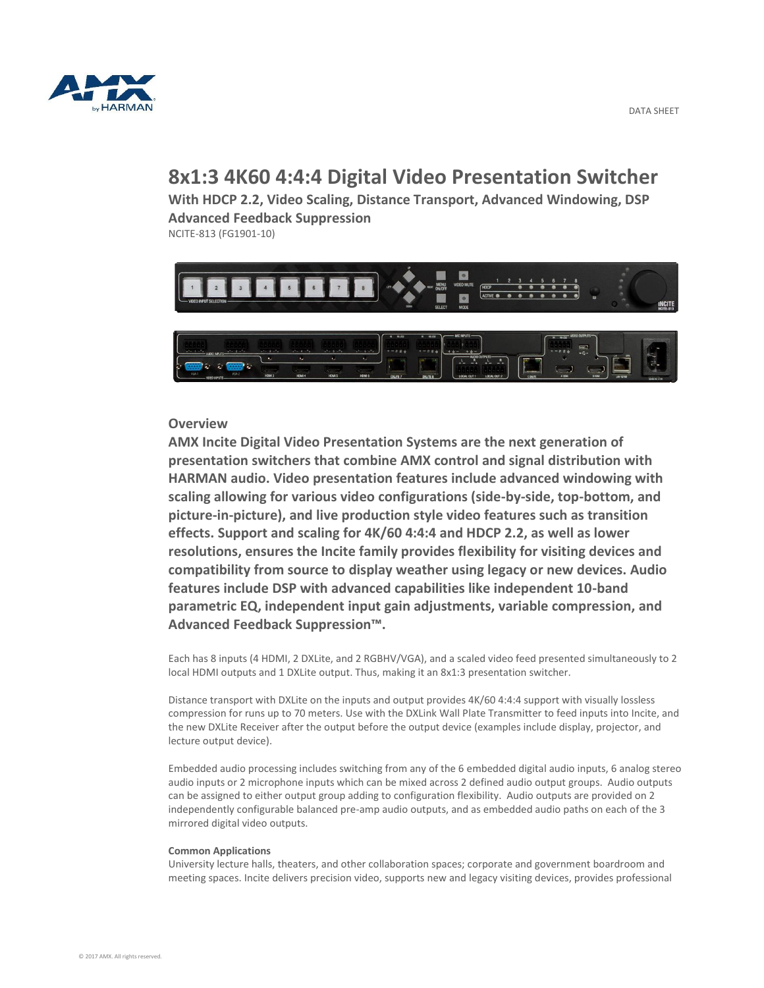

# **8x1:3 4K60 4:4:4 Digital Video Presentation Switcher**

**With HDCP 2.2, Video Scaling, Distance Transport, Advanced Windowing, DSP Advanced Feedback Suppression** NCITE-813 (FG1901-10)



### **Overview**

**AMX Incite Digital Video Presentation Systems are the next generation of presentation switchers that combine AMX control and signal distribution with HARMAN audio. Video presentation features include advanced windowing with scaling allowing for various video configurations (side-by-side, top-bottom, and picture-in-picture), and live production style video features such as transition effects. Support and scaling for 4K/60 4:4:4 and HDCP 2.2, as well as lower resolutions, ensures the Incite family provides flexibility for visiting devices and compatibility from source to display weather using legacy or new devices. Audio features include DSP with advanced capabilities like independent 10-band parametric EQ, independent input gain adjustments, variable compression, and Advanced Feedback Suppression™.**

Each has 8 inputs (4 HDMI, 2 DXLite, and 2 RGBHV/VGA), and a scaled video feed presented simultaneously to 2 local HDMI outputs and 1 DXLite output. Thus, making it an 8x1:3 presentation switcher.

Distance transport with DXLite on the inputs and output provides 4K/60 4:4:4 support with visually lossless compression for runs up to 70 meters. Use with the DXLink Wall Plate Transmitter to feed inputs into Incite, and the new DXLite Receiver after the output before the output device (examples include display, projector, and lecture output device).

Embedded audio processing includes switching from any of the 6 embedded digital audio inputs, 6 analog stereo audio inputs or 2 microphone inputs which can be mixed across 2 defined audio output groups. Audio outputs can be assigned to either output group adding to configuration flexibility. Audio outputs are provided on 2 independently configurable balanced pre-amp audio outputs, and as embedded audio paths on each of the 3 mirrored digital video outputs.

#### **Common Applications**

University lecture halls, theaters, and other collaboration spaces; corporate and government boardroom and meeting spaces. Incite delivers precision video, supports new and legacy visiting devices, provides professional

DATA SHEET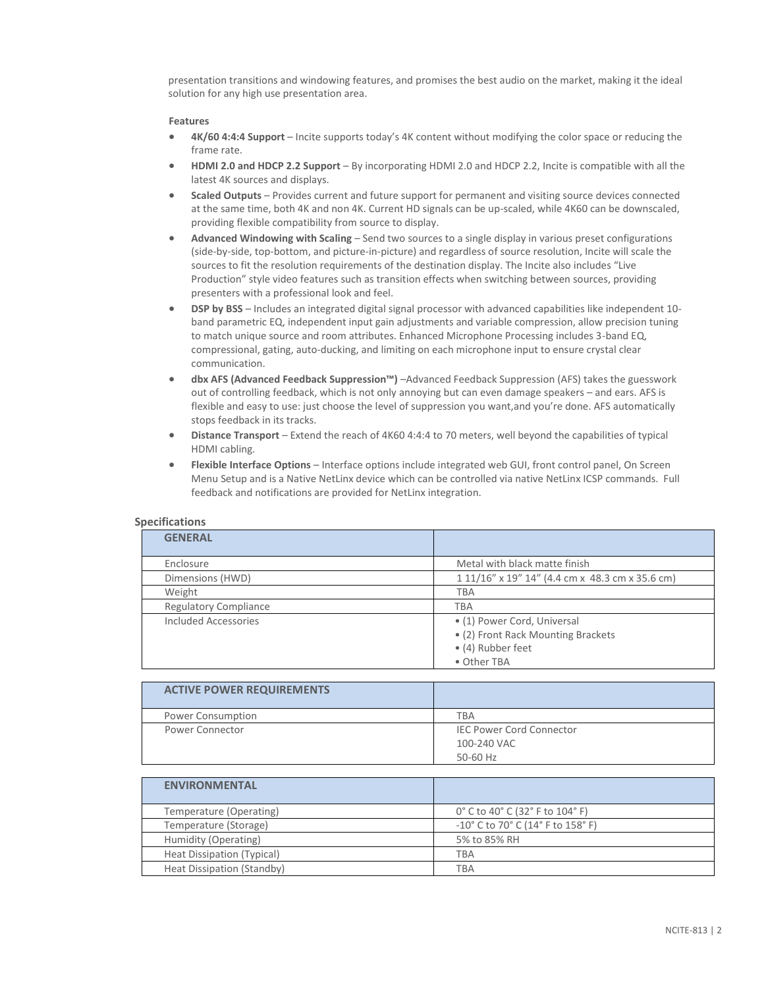presentation transitions and windowing features, and promises the best audio on the market, making it the ideal solution for any high use presentation area.

#### **Features**

- **4K/60 4:4:4 Support** Incite supports today's 4K content without modifying the color space or reducing the frame rate.
- **HDMI 2.0 and HDCP 2.2 Support** By incorporating HDMI 2.0 and HDCP 2.2, Incite is compatible with all the latest 4K sources and displays.
- **Scaled Outputs** Provides current and future support for permanent and visiting source devices connected at the same time, both 4K and non 4K. Current HD signals can be up-scaled, while 4K60 can be downscaled, providing flexible compatibility from source to display.
- **Advanced Windowing with Scaling** Send two sources to a single display in various preset configurations (side-by-side, top-bottom, and picture-in-picture) and regardless of source resolution, Incite will scale the sources to fit the resolution requirements of the destination display. The Incite also includes "Live Production" style video features such as transition effects when switching between sources, providing presenters with a professional look and feel.
- **DSP by BSS** Includes an integrated digital signal processor with advanced capabilities like independent 10 band parametric EQ, independent input gain adjustments and variable compression, allow precision tuning to match unique source and room attributes. Enhanced Microphone Processing includes 3-band EQ, compressional, gating, auto-ducking, and limiting on each microphone input to ensure crystal clear communication.
- **dbx AFS (Advanced Feedback Suppression™)** –Advanced Feedback Suppression (AFS) takes the guesswork out of controlling feedback, which is not only annoying but can even damage speakers – and ears. AFS is flexible and easy to use: just choose the level of suppression you want, and you're done. AFS automatically stops feedback in its tracks.
- **Distance Transport** Extend the reach of 4K60 4:4:4 to 70 meters, well beyond the capabilities of typical HDMI cabling.
- **Flexible Interface Options** Interface options include integrated web GUI, front control panel, On Screen Menu Setup and is a Native NetLinx device which can be controlled via native NetLinx ICSP commands. Full feedback and notifications are provided for NetLinx integration.

| <b>GENERAL</b>               |                                                 |
|------------------------------|-------------------------------------------------|
| Enclosure                    | Metal with black matte finish                   |
| Dimensions (HWD)             | 1 11/16" x 19" 14" (4.4 cm x 48.3 cm x 35.6 cm) |
| Weight                       | <b>TBA</b>                                      |
| <b>Regulatory Compliance</b> | TBA                                             |
| Included Accessories         | • (1) Power Cord, Universal                     |
|                              | • (2) Front Rack Mounting Brackets              |
|                              | • (4) Rubber feet                               |
|                              | • Other TBA                                     |

## **Specifications**

| <b>ACTIVE POWER REQUIREMENTS</b> |                                 |
|----------------------------------|---------------------------------|
| Power Consumption                | <b>TBA</b>                      |
| <b>Power Connector</b>           | <b>IEC Power Cord Connector</b> |
|                                  | 100-240 VAC                     |
|                                  | 50-60 Hz                        |

| <b>ENVIRONMENTAL</b>       |                                                                          |
|----------------------------|--------------------------------------------------------------------------|
| Temperature (Operating)    | 0° C to 40° C (32° F to 104° F)                                          |
| Temperature (Storage)      | $-10^{\circ}$ C to 70 $^{\circ}$ C (14 $^{\circ}$ F to 158 $^{\circ}$ F) |
| Humidity (Operating)       | 5% to 85% RH                                                             |
| Heat Dissipation (Typical) | TBA                                                                      |
| Heat Dissipation (Standby) | TBA                                                                      |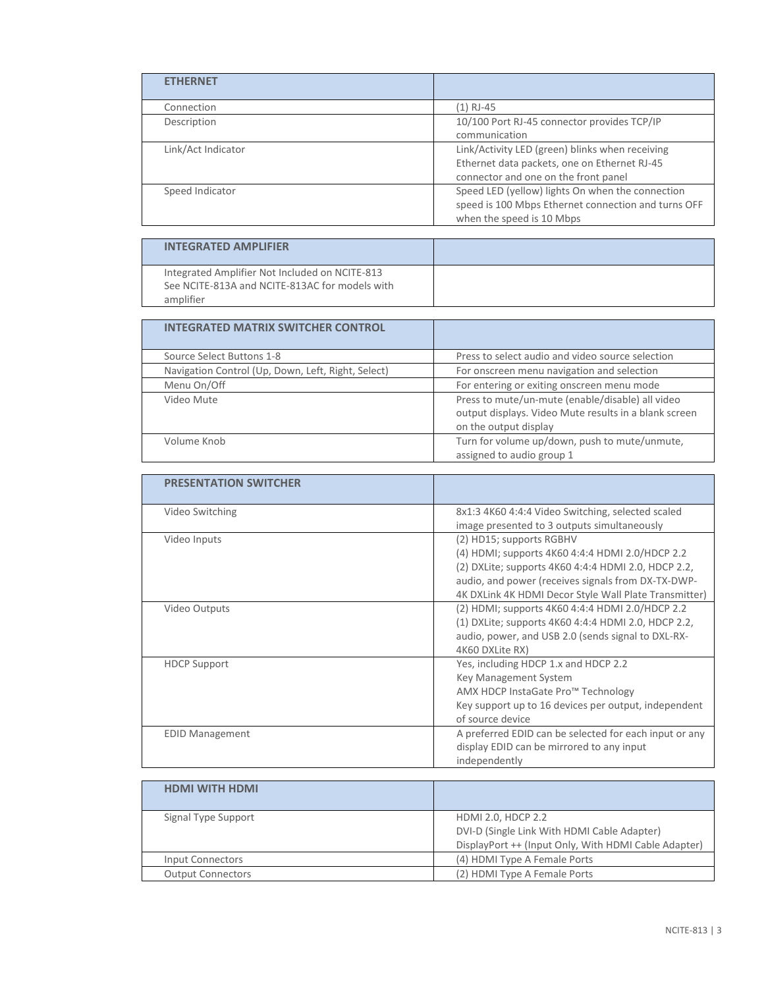| <b>ETHERNET</b>    |                                                                                                                                         |
|--------------------|-----------------------------------------------------------------------------------------------------------------------------------------|
| Connection         | (1) RJ-45                                                                                                                               |
| Description        | 10/100 Port RJ-45 connector provides TCP/IP<br>communication                                                                            |
| Link/Act Indicator | Link/Activity LED (green) blinks when receiving<br>Ethernet data packets, one on Ethernet RJ-45<br>connector and one on the front panel |
| Speed Indicator    | Speed LED (yellow) lights On when the connection<br>speed is 100 Mbps Ethernet connection and turns OFF<br>when the speed is 10 Mbps    |

| <b>INTEGRATED AMPLIFIER</b>                    |  |
|------------------------------------------------|--|
| Integrated Amplifier Not Included on NCITE-813 |  |
| See NCITE-813A and NCITE-813AC for models with |  |
| amplifier                                      |  |

| <b>INTEGRATED MATRIX SWITCHER CONTROL</b>          |                                                                                                                                    |
|----------------------------------------------------|------------------------------------------------------------------------------------------------------------------------------------|
| Source Select Buttons 1-8                          | Press to select audio and video source selection                                                                                   |
| Navigation Control (Up, Down, Left, Right, Select) | For onscreen menu navigation and selection                                                                                         |
| Menu On/Off                                        | For entering or exiting onscreen menu mode                                                                                         |
| Video Mute                                         | Press to mute/un-mute (enable/disable) all video<br>output displays. Video Mute results in a blank screen<br>on the output display |
| Volume Knob                                        | Turn for volume up/down, push to mute/unmute,<br>assigned to audio group 1                                                         |

| <b>PRESENTATION SWITCHER</b> |                                                                                                                                                                                                                                                   |
|------------------------------|---------------------------------------------------------------------------------------------------------------------------------------------------------------------------------------------------------------------------------------------------|
| Video Switching              | 8x1:3 4K60 4:4:4 Video Switching, selected scaled<br>image presented to 3 outputs simultaneously                                                                                                                                                  |
| Video Inputs                 | (2) HD15; supports RGBHV<br>(4) HDMI; supports 4K60 4:4:4 HDMI 2.0/HDCP 2.2<br>(2) DXLite; supports 4K60 4:4:4 HDMI 2.0, HDCP 2.2,<br>audio, and power (receives signals from DX-TX-DWP-<br>4K DXLink 4K HDMI Decor Style Wall Plate Transmitter) |
| Video Outputs                | (2) HDMI; supports 4K60 4:4:4 HDMI 2.0/HDCP 2.2<br>(1) DXLite; supports 4K60 4:4:4 HDMI 2.0, HDCP 2.2,<br>audio, power, and USB 2.0 (sends signal to DXL-RX-<br>4K60 DXLite RX)                                                                   |
| <b>HDCP Support</b>          | Yes, including HDCP 1.x and HDCP 2.2<br>Key Management System<br>AMX HDCP InstaGate Pro™ Technology<br>Key support up to 16 devices per output, independent<br>of source device                                                                   |
| <b>EDID Management</b>       | A preferred EDID can be selected for each input or any<br>display EDID can be mirrored to any input<br>independently                                                                                                                              |

| HDMI WITH HDMI           |                                                      |
|--------------------------|------------------------------------------------------|
|                          |                                                      |
| Signal Type Support      | HDMI 2.0, HDCP 2.2                                   |
|                          | DVI-D (Single Link With HDMI Cable Adapter)          |
|                          | DisplayPort ++ (Input Only, With HDMI Cable Adapter) |
| Input Connectors         | (4) HDMI Type A Female Ports                         |
| <b>Output Connectors</b> | (2) HDMI Type A Female Ports                         |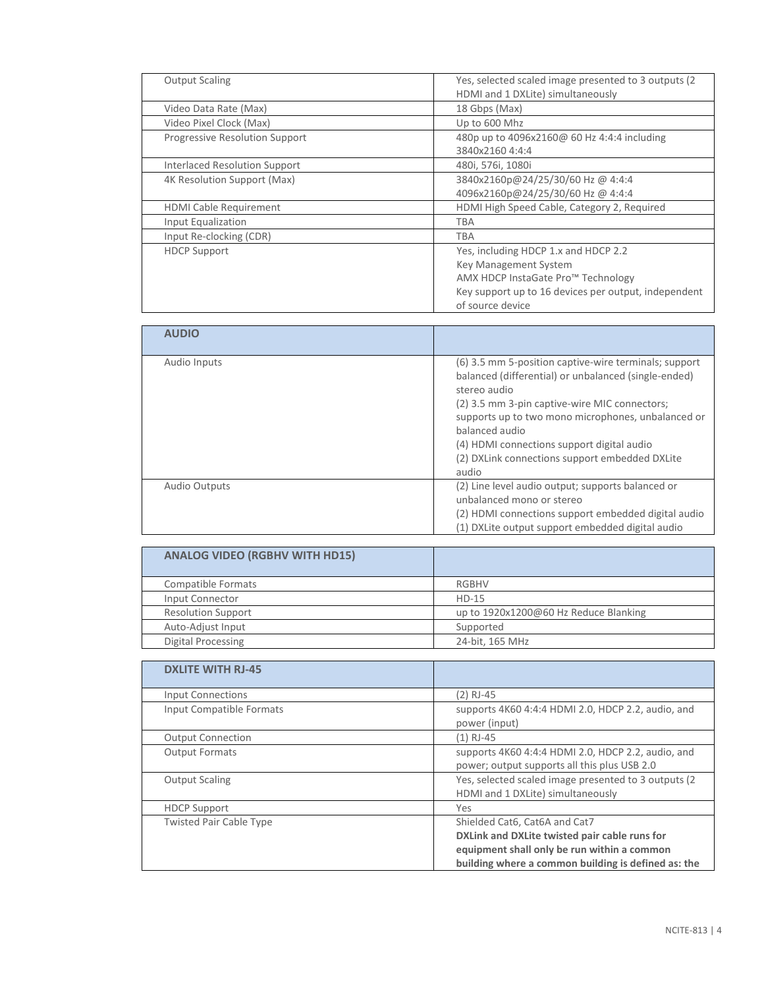| <b>Output Scaling</b>          | Yes, selected scaled image presented to 3 outputs (2) |
|--------------------------------|-------------------------------------------------------|
|                                | HDMI and 1 DXLite) simultaneously                     |
| Video Data Rate (Max)          | 18 Gbps (Max)                                         |
| Video Pixel Clock (Max)        | Up to 600 Mhz                                         |
| Progressive Resolution Support | 480p up to 4096x2160@ 60 Hz 4:4:4 including           |
|                                | 3840x2160 4:4:4                                       |
| Interlaced Resolution Support  | 480i, 576i, 1080i                                     |
| 4K Resolution Support (Max)    | 3840x2160p@24/25/30/60 Hz @ 4:4:4                     |
|                                | 4096x2160p@24/25/30/60 Hz @ 4:4:4                     |
| HDMI Cable Requirement         | HDMI High Speed Cable, Category 2, Required           |
| Input Equalization             | <b>TBA</b>                                            |
| Input Re-clocking (CDR)        | TBA                                                   |
| <b>HDCP Support</b>            | Yes, including HDCP 1.x and HDCP 2.2                  |
|                                | Key Management System                                 |
|                                | AMX HDCP InstaGate Pro™ Technology                    |
|                                | Key support up to 16 devices per output, independent  |
|                                | of source device                                      |

| <b>AUDIO</b>         |                                                                                                                                                                                                                                                                                                                                                                 |
|----------------------|-----------------------------------------------------------------------------------------------------------------------------------------------------------------------------------------------------------------------------------------------------------------------------------------------------------------------------------------------------------------|
| Audio Inputs         | (6) 3.5 mm 5-position captive-wire terminals; support<br>balanced (differential) or unbalanced (single-ended)<br>stereo audio<br>(2) 3.5 mm 3-pin captive-wire MIC connectors;<br>supports up to two mono microphones, unbalanced or<br>balanced audio<br>(4) HDMI connections support digital audio<br>(2) DXLink connections support embedded DXLite<br>audio |
| <b>Audio Outputs</b> | (2) Line level audio output; supports balanced or<br>unbalanced mono or stereo<br>(2) HDMI connections support embedded digital audio<br>(1) DXLite output support embedded digital audio                                                                                                                                                                       |

| <b>ANALOG VIDEO (RGBHV WITH HD15)</b> |                                       |
|---------------------------------------|---------------------------------------|
| Compatible Formats                    | <b>RGBHV</b>                          |
| Input Connector                       | $HD-15$                               |
| <b>Resolution Support</b>             | up to 1920x1200@60 Hz Reduce Blanking |
| Auto-Adjust Input                     | Supported                             |
| Digital Processing                    | 24-bit, 165 MHz                       |

| <b>DXLITE WITH RJ-45</b>       |                                                                                                                                                                                      |
|--------------------------------|--------------------------------------------------------------------------------------------------------------------------------------------------------------------------------------|
| <b>Input Connections</b>       | $(2)$ RJ-45                                                                                                                                                                          |
| Input Compatible Formats       | supports 4K60 4:4:4 HDMI 2.0, HDCP 2.2, audio, and<br>power (input)                                                                                                                  |
| <b>Output Connection</b>       | (1) RJ-45                                                                                                                                                                            |
| <b>Output Formats</b>          | supports 4K60 4:4:4 HDMI 2.0, HDCP 2.2, audio, and<br>power; output supports all this plus USB 2.0                                                                                   |
| <b>Output Scaling</b>          | Yes, selected scaled image presented to 3 outputs (2)<br>HDMI and 1 DXLite) simultaneously                                                                                           |
| <b>HDCP Support</b>            | Yes                                                                                                                                                                                  |
| <b>Twisted Pair Cable Type</b> | Shielded Cat6, Cat6A and Cat7<br>DXLink and DXLite twisted pair cable runs for<br>equipment shall only be run within a common<br>building where a common building is defined as: the |